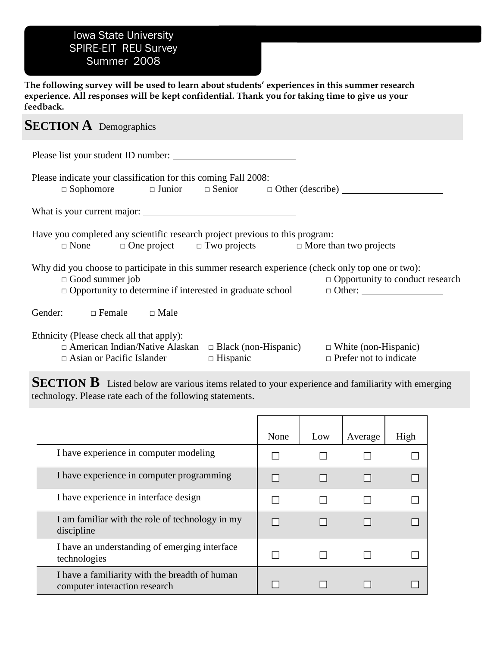## Iowa State University SPIRE-EIT REU Survey Summer 2008

**The following survey will be used to learn about students' experiences in this summer research experience. All responses will be kept confidential. Thank you for taking time to give us your feedback.** 

## **SECTION A** Demographics

| Please list your student ID number:                                                                                                                                                                           |                 |                                        |
|---------------------------------------------------------------------------------------------------------------------------------------------------------------------------------------------------------------|-----------------|----------------------------------------|
| Please indicate your classification for this coming Fall 2008:<br>$\Box$ Sophomore $\Box$ Junior $\Box$ Senior $\Box$ Other (describe)                                                                        |                 |                                        |
| What is your current major:                                                                                                                                                                                   |                 |                                        |
| Have you completed any scientific research project previous to this program:<br>$\Box$ None $\Box$ One project $\Box$ Two projects $\Box$ More than two projects                                              |                 |                                        |
| Why did you choose to participate in this summer research experience (check only top one or two):<br>$\Box$ Good summer job<br>$\Box$ Opportunity to determine if interested in graduate school $\Box$ Other: |                 | $\Box$ Opportunity to conduct research |
| Gender: $\Box$ Female $\Box$ Male                                                                                                                                                                             |                 |                                        |
| Ethnicity (Please check all that apply):<br>$\Box$ American Indian/Native Alaskan $\Box$ Black (non-Hispanic) $\Box$ White (non-Hispanic)<br>$\Box$ Asian or Pacific Islander                                 | $\Box$ Hispanic | $\Box$ Prefer not to indicate          |

**SECTION B** Listed below are various items related to your experience and familiarity with emerging technology. Please rate each of the following statements.

|                                                                                 | None | Low | Average | High |
|---------------------------------------------------------------------------------|------|-----|---------|------|
| I have experience in computer modeling                                          |      |     |         |      |
| I have experience in computer programming                                       |      |     |         |      |
| I have experience in interface design                                           |      |     |         |      |
| I am familiar with the role of technology in my<br>discipline                   |      |     |         |      |
| I have an understanding of emerging interface<br>technologies                   |      |     |         |      |
| I have a familiarity with the breadth of human<br>computer interaction research |      |     |         |      |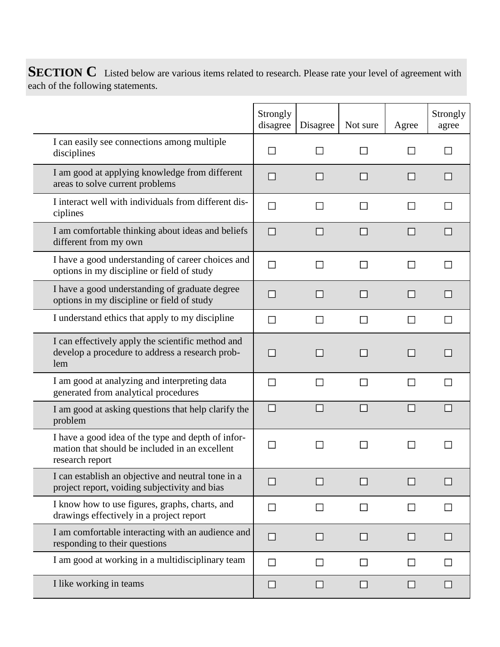**SECTION C** Listed below are various items related to research. Please rate your level of agreement with each of the following statements.

|                                                                                                                         | Strongly<br>disagree | Disagree | Not sure | Agree | Strongly<br>agree |
|-------------------------------------------------------------------------------------------------------------------------|----------------------|----------|----------|-------|-------------------|
| I can easily see connections among multiple<br>disciplines                                                              |                      |          |          |       |                   |
| I am good at applying knowledge from different<br>areas to solve current problems                                       |                      |          |          |       |                   |
| I interact well with individuals from different dis-<br>ciplines                                                        |                      |          |          |       |                   |
| I am comfortable thinking about ideas and beliefs<br>different from my own                                              |                      |          |          |       |                   |
| I have a good understanding of career choices and<br>options in my discipline or field of study                         |                      |          |          |       |                   |
| I have a good understanding of graduate degree<br>options in my discipline or field of study                            |                      |          |          |       |                   |
| I understand ethics that apply to my discipline                                                                         |                      |          |          |       |                   |
| I can effectively apply the scientific method and<br>develop a procedure to address a research prob-<br>lem             |                      |          |          |       |                   |
| I am good at analyzing and interpreting data<br>generated from analytical procedures                                    |                      |          |          |       |                   |
| I am good at asking questions that help clarify the<br>problem                                                          |                      |          |          |       |                   |
| I have a good idea of the type and depth of infor-<br>mation that should be included in an excellent<br>research report |                      |          |          |       |                   |
| I can establish an objective and neutral tone in a<br>project report, voiding subjectivity and bias                     |                      |          |          |       |                   |
| I know how to use figures, graphs, charts, and<br>drawings effectively in a project report                              | $\mathbf{I}$         |          |          |       |                   |
| I am comfortable interacting with an audience and<br>responding to their questions                                      |                      |          |          |       |                   |
| I am good at working in a multidisciplinary team                                                                        |                      |          |          | l 1   |                   |
| I like working in teams                                                                                                 |                      |          |          |       |                   |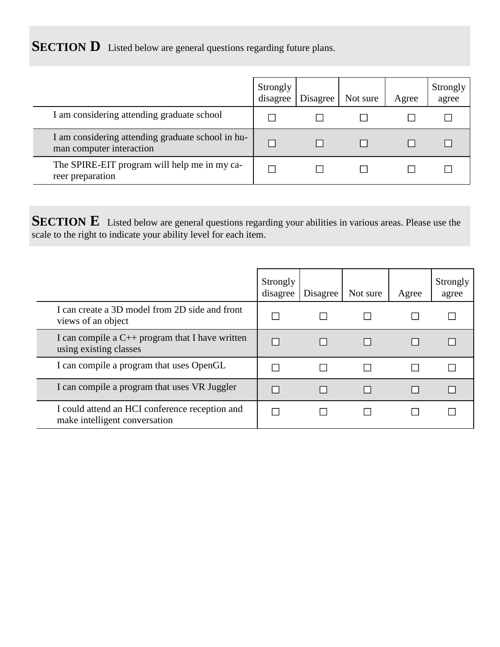**SECTION D** Listed below are general questions regarding future plans.

|                                                                               | Strongly<br>disagree | Disagree | Not sure | Agree | Strongly<br>agree |
|-------------------------------------------------------------------------------|----------------------|----------|----------|-------|-------------------|
| I am considering attending graduate school                                    |                      |          |          |       |                   |
| I am considering attending graduate school in hu-<br>man computer interaction |                      |          |          |       |                   |
| The SPIRE-EIT program will help me in my ca-<br>reer preparation              |                      |          |          |       |                   |

**SECTION E** Listed below are general questions regarding your abilities in various areas. Please use the scale to the right to indicate your ability level for each item.

|                                                                                 | Strongly<br>disagree | Disagree | Not sure | Agree | Strongly<br>agree |
|---------------------------------------------------------------------------------|----------------------|----------|----------|-------|-------------------|
| I can create a 3D model from 2D side and front<br>views of an object            |                      |          |          |       |                   |
| I can compile a $C_{++}$ program that I have written<br>using existing classes  |                      |          |          |       |                   |
| I can compile a program that uses OpenGL                                        |                      |          |          |       |                   |
| I can compile a program that uses VR Juggler                                    |                      |          |          |       |                   |
| I could attend an HCI conference reception and<br>make intelligent conversation |                      |          |          |       |                   |